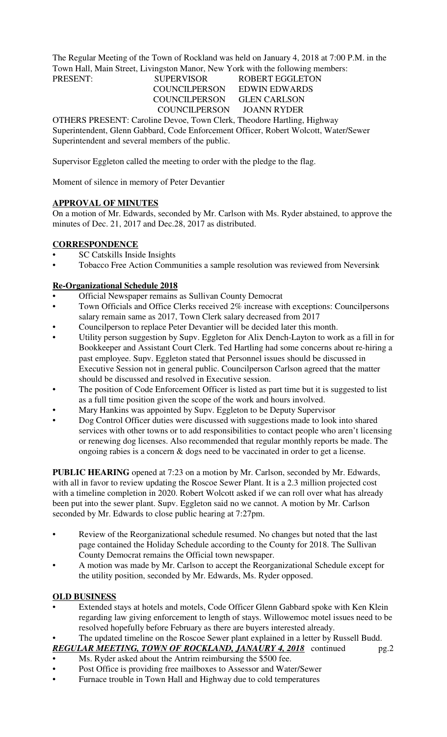The Regular Meeting of the Town of Rockland was held on January 4, 2018 at 7:00 P.M. in the Town Hall, Main Street, Livingston Manor, New York with the following members:

## PRESENT: SUPERVISOR ROBERT EGGLETON COUNCILPERSON EDWIN EDWARDS COUNCILPERSON GLEN CARLSON COUNCILPERSON JOANN RYDER

OTHERS PRESENT: Caroline Devoe, Town Clerk, Theodore Hartling, Highway Superintendent, Glenn Gabbard, Code Enforcement Officer, Robert Wolcott, Water/Sewer Superintendent and several members of the public.

Supervisor Eggleton called the meeting to order with the pledge to the flag.

Moment of silence in memory of Peter Devantier

# **APPROVAL OF MINUTES**

On a motion of Mr. Edwards, seconded by Mr. Carlson with Ms. Ryder abstained, to approve the minutes of Dec. 21, 2017 and Dec.28, 2017 as distributed.

# **CORRESPONDENCE**

- SC Catskills Inside Insights
- Tobacco Free Action Communities a sample resolution was reviewed from Neversink

# **Re-Organizational Schedule 2018**

- Official Newspaper remains as Sullivan County Democrat
- Town Officials and Office Clerks received 2% increase with exceptions: Councilpersons salary remain same as 2017, Town Clerk salary decreased from 2017
- Councilperson to replace Peter Devantier will be decided later this month.
- Utility person suggestion by Supv. Eggleton for Alix Dench-Layton to work as a fill in for Bookkeeper and Assistant Court Clerk. Ted Hartling had some concerns about re-hiring a past employee. Supv. Eggleton stated that Personnel issues should be discussed in Executive Session not in general public. Councilperson Carlson agreed that the matter should be discussed and resolved in Executive session.
- The position of Code Enforcement Officer is listed as part time but it is suggested to list as a full time position given the scope of the work and hours involved.
- Mary Hankins was appointed by Supv. Eggleton to be Deputy Supervisor
- Dog Control Officer duties were discussed with suggestions made to look into shared services with other towns or to add responsibilities to contact people who aren't licensing or renewing dog licenses. Also recommended that regular monthly reports be made. The ongoing rabies is a concern & dogs need to be vaccinated in order to get a license.

**PUBLIC HEARING** opened at 7:23 on a motion by Mr. Carlson, seconded by Mr. Edwards, with all in favor to review updating the Roscoe Sewer Plant. It is a 2.3 million projected cost with a timeline completion in 2020. Robert Wolcott asked if we can roll over what has already been put into the sewer plant. Supv. Eggleton said no we cannot. A motion by Mr. Carlson seconded by Mr. Edwards to close public hearing at 7:27pm.

- Review of the Reorganizational schedule resumed. No changes but noted that the last page contained the Holiday Schedule according to the County for 2018. The Sullivan County Democrat remains the Official town newspaper.
- A motion was made by Mr. Carlson to accept the Reorganizational Schedule except for the utility position, seconded by Mr. Edwards, Ms. Ryder opposed.

# **OLD BUSINESS**

- Extended stays at hotels and motels, Code Officer Glenn Gabbard spoke with Ken Klein regarding law giving enforcement to length of stays. Willowemoc motel issues need to be resolved hopefully before February as there are buyers interested already.
- The updated timeline on the Roscoe Sewer plant explained in a letter by Russell Budd.

# *REGULAR MEETING, TOWN OF ROCKLAND, JANAURY 4, 2018* continued pg.2

- Ms. Ryder asked about the Antrim reimbursing the \$500 fee.
- Post Office is providing free mailboxes to Assessor and Water/Sewer
- Furnace trouble in Town Hall and Highway due to cold temperatures